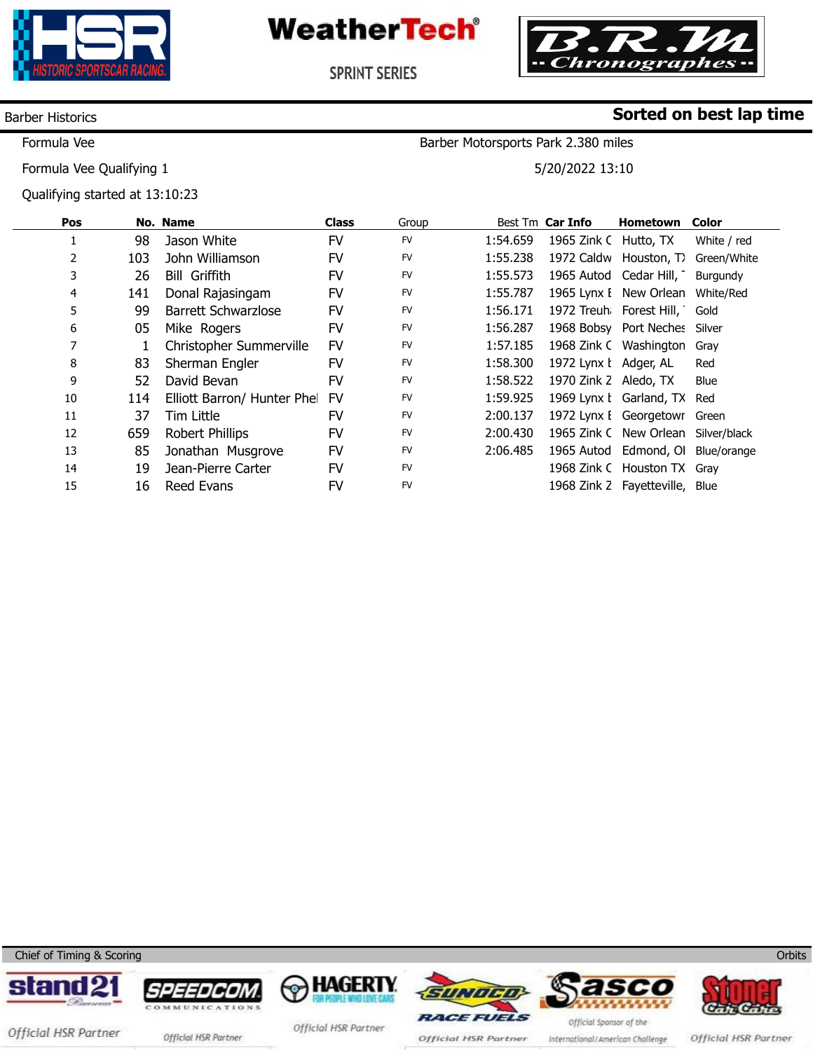

**WeatherTech®** 



Barber Motorsports Park 2.380 miles

5/20/2022 13:10

**Sorted on best lap time**

**SPRINT SERIES** 

### Barber Historics

Formula Vee

Formula Vee Qualifying 1

Qualifying started at 13:10:23

| Pos |     | No. Name                   | <b>Class</b> | Group     |          | Best Tm Car Info      | Hometown                          | <b>Color</b> |
|-----|-----|----------------------------|--------------|-----------|----------|-----------------------|-----------------------------------|--------------|
|     | 98  | Jason White                | FV           | <b>FV</b> | 1:54.659 | 1965 Zink C Hutto, TX |                                   | White / red  |
| 2   | 103 | John Williamson            | FV           | <b>FV</b> | 1:55.238 |                       | 1972 Caldw Houston, T)            | Green/White  |
| 3   | 26  | <b>Bill Griffith</b>       | <b>FV</b>    | <b>FV</b> | 1:55.573 |                       | 1965 Autod Cedar Hill,            | Burgundy     |
| 4   | 141 | Donal Rajasingam           | FV           | <b>FV</b> | 1:55.787 |                       | 1965 Lynx I New Orlean            | White/Red    |
| 5   | 99  | <b>Barrett Schwarzlose</b> | FV           | <b>FV</b> | 1:56.171 |                       | 1972 Treuh Forest Hill, Gold      |              |
| 6   | 05  | Mike Rogers                | <b>FV</b>    | <b>FV</b> | 1:56.287 |                       | 1968 Bobsy Port Neches            | Silver       |
|     |     | Christopher Summerville    | <b>FV</b>    | <b>FV</b> | 1:57.185 |                       | 1968 Zink C Washington Gray       |              |
| 8   | 83  | Sherman Engler             | <b>FV</b>    | <b>FV</b> | 1:58.300 | 1972 Lynx   Adger, AL |                                   | Red          |
| 9   | 52  | David Bevan                | <b>FV</b>    | <b>FV</b> | 1:58.522 | 1970 Zink Z Aledo, TX |                                   | Blue         |
| 10  | 114 | Elliott Barron/ Hunter Phe | <b>FV</b>    | <b>FV</b> | 1:59.925 |                       | 1969 Lynx I Garland, TX Red       |              |
| 11  | 37  | Tim Little                 | FV           | <b>FV</b> | 2:00.137 |                       | 1972 Lynx I Georgetowr Green      |              |
| 12  | 659 | Robert Phillips            | FV           | <b>FV</b> | 2:00.430 |                       | 1965 Zink C New Orlean            | Silver/black |
| 13  | 85  | Jonathan Musgrove          | FV           | <b>FV</b> | 2:06.485 |                       | 1965 Autod Edmond, Ol Blue/orange |              |
| 14  | 19  | Jean-Pierre Carter         | <b>FV</b>    | <b>FV</b> |          |                       | 1968 Zink C Houston TX Gray       |              |
| 15  | 16  | Reed Evans                 | FV           | <b>FV</b> |          |                       | 1968 Zink Z Fayetteville,         | Blue         |

Chief of Timing & Scoring















Official HSR Partner official HSR Partner

Official HSR Partner

Official HSR Partner International/American Challenge

Official HSR Partner

**Orbits**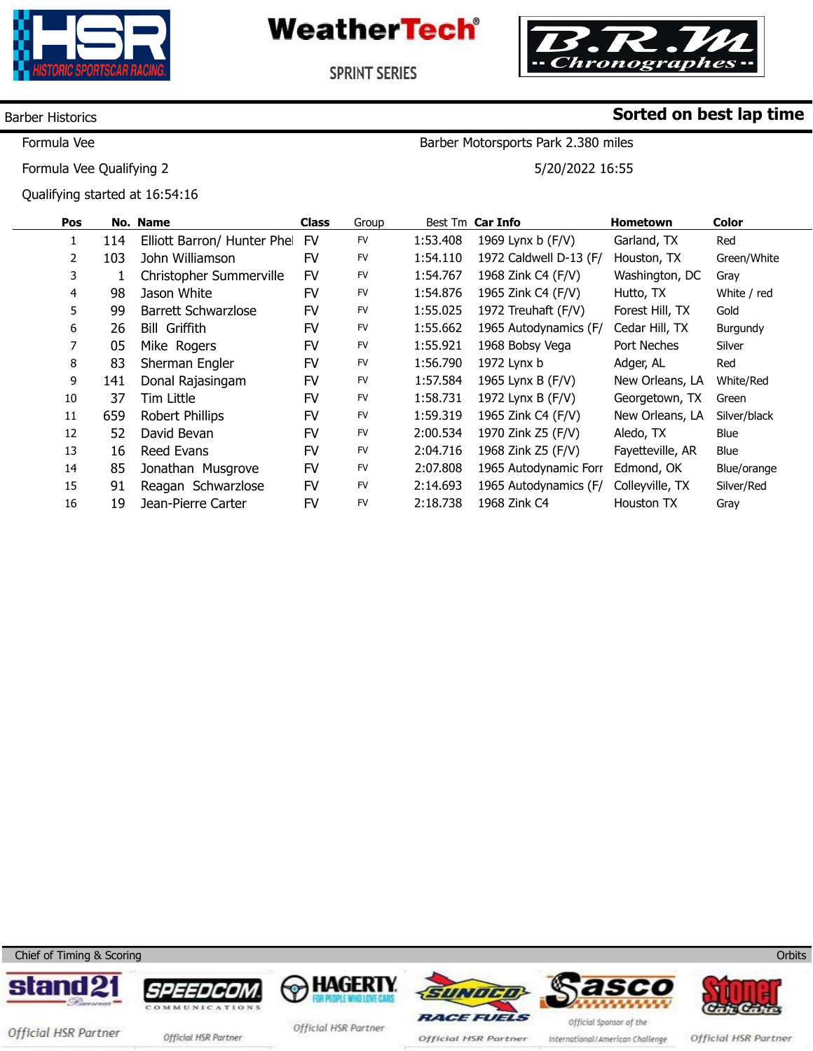

**WeatherTech®** 



**SPRINT SERIES** 

### Barber Historics

Formula Vee

Formula Vee Qualifying 2

Qualifying started at 16:54:16

## **Sorted on best lap time**

Barber Motorsports Park 2.380 miles

5/20/2022 16:55

| Pos |     | No. Name                    | <b>Class</b> | Group     |          | Best Tm Car Info       | <b>Hometown</b>  | <b>Color</b> |
|-----|-----|-----------------------------|--------------|-----------|----------|------------------------|------------------|--------------|
|     | 114 | Elliott Barron/ Hunter Phel | FV           | <b>FV</b> | 1:53.408 | 1969 Lynx b (F/V)      | Garland, TX      | Red          |
| 2   | 103 | John Williamson             | FV           | FV        | 1:54.110 | 1972 Caldwell D-13 (F/ | Houston, TX      | Green/White  |
| 3   |     | Christopher Summerville     | <b>FV</b>    | <b>FV</b> | 1:54.767 | 1968 Zink C4 (F/V)     | Washington, DC   | Gray         |
| 4   | 98  | Jason White                 | FV           | FV        | 1:54.876 | 1965 Zink C4 (F/V)     | Hutto, TX        | White / red  |
| 5   | 99  | Barrett Schwarzlose         | FV           | FV        | 1:55.025 | 1972 Treuhaft (F/V)    | Forest Hill, TX  | Gold         |
| 6   | 26  | <b>Bill Griffith</b>        | FV           | <b>FV</b> | 1:55.662 | 1965 Autodynamics (F/  | Cedar Hill, TX   | Burgundy     |
| 7   | 05  | Mike Rogers                 | FV           | <b>FV</b> | 1:55.921 | 1968 Bobsy Vega        | Port Neches      | Silver       |
| 8   | 83  | Sherman Engler              | FV           | <b>FV</b> | 1:56.790 | 1972 Lynx b            | Adger, AL        | Red          |
| 9   | 141 | Donal Rajasingam            | FV           | <b>FV</b> | 1:57.584 | 1965 Lynx B (F/V)      | New Orleans, LA  | White/Red    |
| 10  | 37  | Tim Little                  | FV           | FV        | 1:58.731 | 1972 Lynx B (F/V)      | Georgetown, TX   | Green        |
| 11  | 659 | <b>Robert Phillips</b>      | FV           | <b>FV</b> | 1:59.319 | 1965 Zink C4 (F/V)     | New Orleans, LA  | Silver/black |
| 12  | 52  | David Bevan                 | FV           | <b>FV</b> | 2:00.534 | 1970 Zink Z5 (F/V)     | Aledo, TX        | Blue         |
| 13  | 16  | Reed Evans                  | FV           | FV        | 2:04.716 | 1968 Zink Z5 (F/V)     | Fayetteville, AR | <b>Blue</b>  |
| 14  | 85  | Jonathan Musgrove           | FV           | <b>FV</b> | 2:07.808 | 1965 Autodynamic Forr  | Edmond, OK       | Blue/orange  |
| 15  | 91  | Reagan Schwarzlose          | <b>FV</b>    | <b>FV</b> | 2:14.693 | 1965 Autodynamics (F/  | Colleyville, TX  | Silver/Red   |
| 16  | 19  | Jean-Pierre Carter          | <b>FV</b>    | <b>FV</b> | 2:18.738 | 1968 Zink C4           | Houston TX       | Gray         |

Chief of Timing & Scoring













Official HSR Partner

**Orbits** 

Official HSR Partner official HSR Partner

Official HSR Partner

Official HSR Partner

International/American Challenge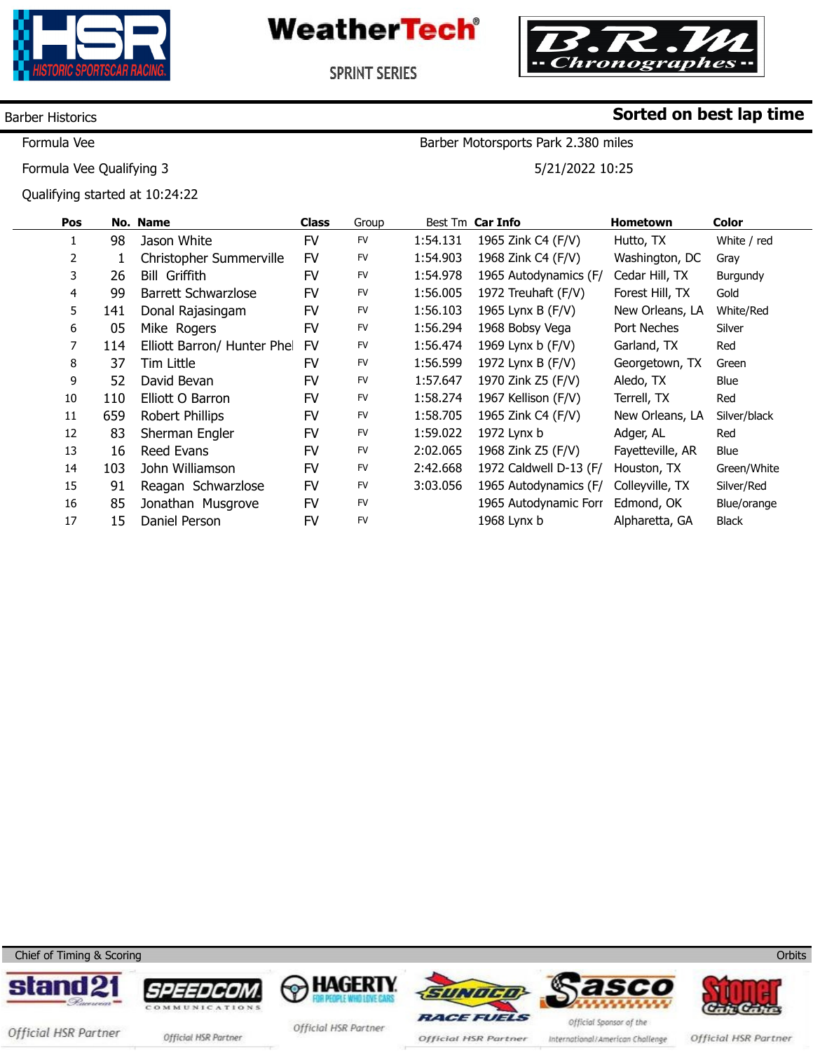

**WeatherTech®** 



**Sorted on best lap time**

**SPRINT SERIES** 

### Barber Historics

Formula Vee

Formula Vee Qualifying 3

Qualifying started at 10:24:22

# Barber Motorsports Park 2.380 miles

5/21/2022 10:25

| Pos |     | No. Name                    | <b>Class</b> | Group     |          | Best Tm Car Info       | <b>Hometown</b>  | Color        |
|-----|-----|-----------------------------|--------------|-----------|----------|------------------------|------------------|--------------|
| 1   | 98  | Jason White                 | <b>FV</b>    | <b>FV</b> | 1:54.131 | 1965 Zink C4 (F/V)     | Hutto, TX        | White / red  |
| 2   |     | Christopher Summerville     | <b>FV</b>    | <b>FV</b> | 1:54.903 | 1968 Zink C4 (F/V)     | Washington, DC   | Gray         |
| 3   | 26  | <b>Bill Griffith</b>        | FV           | FV        | 1:54.978 | 1965 Autodynamics (F/  | Cedar Hill, TX   | Burgundy     |
| 4   | 99  | <b>Barrett Schwarzlose</b>  | FV           | <b>FV</b> | 1:56.005 | 1972 Treuhaft (F/V)    | Forest Hill, TX  | Gold         |
| 5   | 141 | Donal Rajasingam            | <b>FV</b>    | FV        | 1:56.103 | 1965 Lynx B (F/V)      | New Orleans, LA  | White/Red    |
| 6   | 05  | Mike Rogers                 | <b>FV</b>    | <b>FV</b> | 1:56.294 | 1968 Bobsy Vega        | Port Neches      | Silver       |
| 7   | 114 | Elliott Barron/ Hunter Phel | <b>FV</b>    | <b>FV</b> | 1:56.474 | 1969 Lynx b (F/V)      | Garland, TX      | Red          |
| 8   | 37  | Tim Little                  | FV           | <b>FV</b> | 1:56.599 | 1972 Lynx B (F/V)      | Georgetown, TX   | Green        |
| 9   | 52  | David Bevan                 | FV           | <b>FV</b> | 1:57.647 | 1970 Zink Z5 (F/V)     | Aledo, TX        | Blue         |
| 10  | 110 | Elliott O Barron            | FV           | <b>FV</b> | 1:58.274 | 1967 Kellison (F/V)    | Terrell, TX      | Red          |
| 11  | 659 | Robert Phillips             | FV           | <b>FV</b> | 1:58.705 | 1965 Zink C4 (F/V)     | New Orleans, LA  | Silver/black |
| 12  | 83  | Sherman Engler              | FV           | <b>FV</b> | 1:59.022 | 1972 Lynx b            | Adger, AL        | Red          |
| 13  | 16  | <b>Reed Evans</b>           | FV           | <b>FV</b> | 2:02.065 | 1968 Zink Z5 (F/V)     | Fayetteville, AR | Blue         |
| 14  | 103 | John Williamson             | <b>FV</b>    | FV        | 2:42.668 | 1972 Caldwell D-13 (F/ | Houston, TX      | Green/White  |
| 15  | 91  | Reagan Schwarzlose          | <b>FV</b>    | <b>FV</b> | 3:03.056 | 1965 Autodynamics (F/  | Colleyville, TX  | Silver/Red   |
| 16  | 85  | Jonathan Musgrove           | FV           | <b>FV</b> |          | 1965 Autodynamic Forr  | Edmond, OK       | Blue/orange  |
| 17  | 15  | Daniel Person               | FV           | <b>FV</b> |          | 1968 Lynx b            | Alpharetta, GA   | <b>Black</b> |

Chief of Timing & Scoring













Official HSR Partner official HSR Partner

Official HSR Partner

Official HSR Partner

International/American Challenge

Official HSR Partner

**Orbits**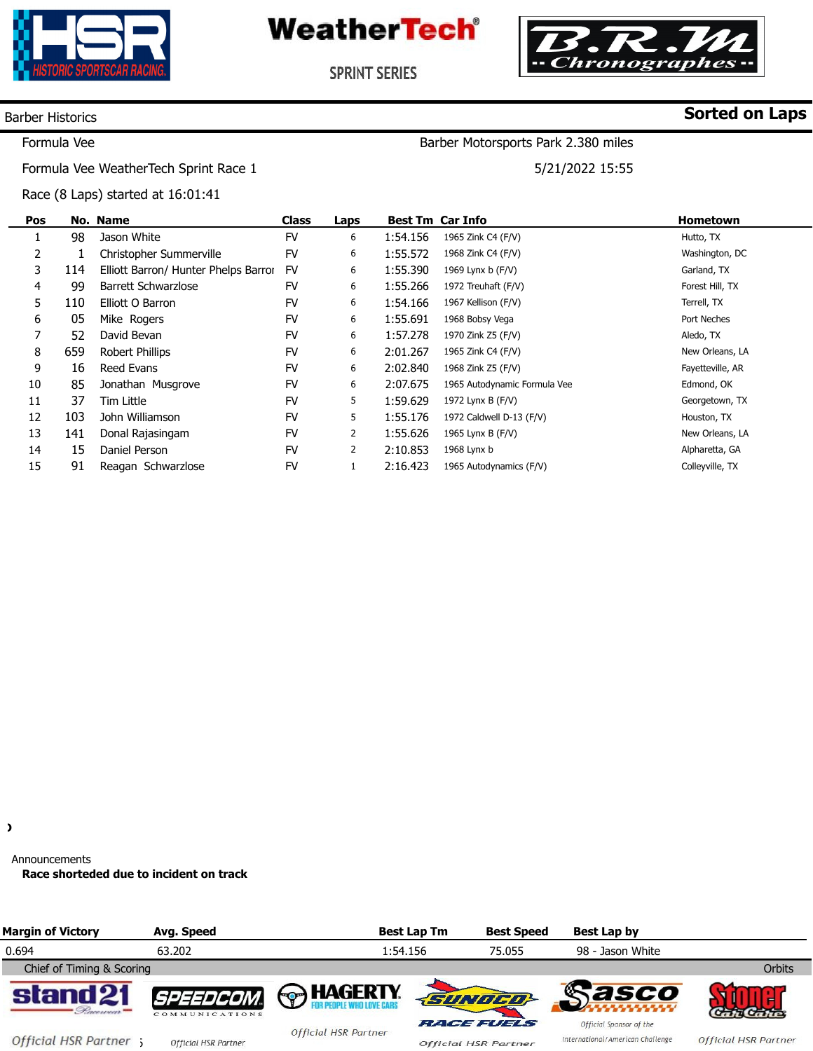





**SPRINT SERIES** 

### Barber Historics

## **Sorted on Laps**

Formula Vee

Barber Motorsports Park 2.380 miles

5/21/2022 15:55

Formula Vee WeatherTech Sprint Race 1

Race (8 Laps) started at 16:01:41

| Pos |     | No. Name                             | <b>Class</b> | Laps           |          | <b>Best Tm Car Info</b>      | <b>Hometown</b>  |
|-----|-----|--------------------------------------|--------------|----------------|----------|------------------------------|------------------|
|     | 98  | Jason White                          | <b>FV</b>    | 6              | 1:54.156 | 1965 Zink C4 (F/V)           | Hutto, TX        |
| 2   |     | Christopher Summerville              | FV           | 6              | 1:55.572 | 1968 Zink C4 (F/V)           | Washington, DC   |
| 3   | 114 | Elliott Barron/ Hunter Phelps Barror | FV           | 6              | 1:55.390 | 1969 Lynx b (F/V)            | Garland, TX      |
| 4   | 99  | Barrett Schwarzlose                  | <b>FV</b>    | 6              | 1:55.266 | 1972 Treuhaft (F/V)          | Forest Hill, TX  |
| 5   | 110 | Elliott O Barron                     | <b>FV</b>    | 6              | 1:54.166 | 1967 Kellison (F/V)          | Terrell, TX      |
| 6   | 05  | Mike Rogers                          | <b>FV</b>    | 6              | 1:55.691 | 1968 Bobsy Vega              | Port Neches      |
| 7   | 52  | David Bevan                          | <b>FV</b>    | 6              | 1:57.278 | 1970 Zink Z5 (F/V)           | Aledo, TX        |
| 8   | 659 | Robert Phillips                      | <b>FV</b>    | 6              | 2:01.267 | 1965 Zink C4 (F/V)           | New Orleans, LA  |
| 9   | 16  | Reed Evans                           | <b>FV</b>    | 6              | 2:02.840 | 1968 Zink Z5 (F/V)           | Fayetteville, AR |
| 10  | 85  | Jonathan Musgrove                    | <b>FV</b>    | 6              | 2:07.675 | 1965 Autodynamic Formula Vee | Edmond, OK       |
| 11  | 37  | Tim Little                           | FV           | 5              | 1:59.629 | 1972 Lynx B (F/V)            | Georgetown, TX   |
| 12  | 103 | John Williamson                      | <b>FV</b>    | 5              | 1:55.176 | 1972 Caldwell D-13 (F/V)     | Houston, TX      |
| 13  | 141 | Donal Rajasingam                     | <b>FV</b>    | 2              | 1:55.626 | 1965 Lynx B (F/V)            | New Orleans, LA  |
| 14  | 15  | Daniel Person                        | <b>FV</b>    | $\overline{2}$ | 2:10.853 | 1968 Lynx b                  | Alpharetta, GA   |
| 15  | 91  | Reagan Schwarzlose                   | <b>FV</b>    |                | 2:16.423 | 1965 Autodynamics (F/V)      | Colleyville, TX  |

 $\lambda$ 

Announcements

**Race shorteded due to incident on track**